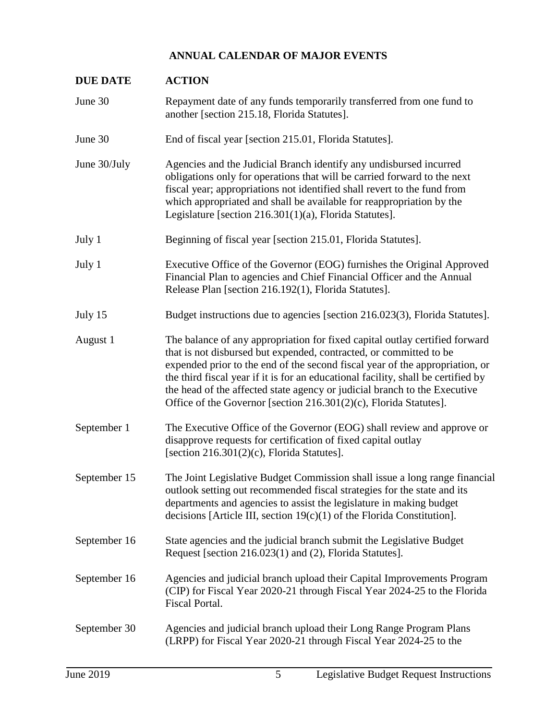## **ANNUAL CALENDAR OF MAJOR EVENTS**

| <b>DUE DATE</b> | <b>ACTION</b>                                                                                                                                                                                                                                                                                                                                                                                                                                                            |
|-----------------|--------------------------------------------------------------------------------------------------------------------------------------------------------------------------------------------------------------------------------------------------------------------------------------------------------------------------------------------------------------------------------------------------------------------------------------------------------------------------|
| June 30         | Repayment date of any funds temporarily transferred from one fund to<br>another [section 215.18, Florida Statutes].                                                                                                                                                                                                                                                                                                                                                      |
| June 30         | End of fiscal year [section 215.01, Florida Statutes].                                                                                                                                                                                                                                                                                                                                                                                                                   |
| June 30/July    | Agencies and the Judicial Branch identify any undisbursed incurred<br>obligations only for operations that will be carried forward to the next<br>fiscal year; appropriations not identified shall revert to the fund from<br>which appropriated and shall be available for reappropriation by the<br>Legislature [section 216.301(1)(a), Florida Statutes].                                                                                                             |
| July 1          | Beginning of fiscal year [section 215.01, Florida Statutes].                                                                                                                                                                                                                                                                                                                                                                                                             |
| July 1          | Executive Office of the Governor (EOG) furnishes the Original Approved<br>Financial Plan to agencies and Chief Financial Officer and the Annual<br>Release Plan [section 216.192(1), Florida Statutes].                                                                                                                                                                                                                                                                  |
| July 15         | Budget instructions due to agencies [section 216.023(3), Florida Statutes].                                                                                                                                                                                                                                                                                                                                                                                              |
| August 1        | The balance of any appropriation for fixed capital outlay certified forward<br>that is not disbursed but expended, contracted, or committed to be<br>expended prior to the end of the second fiscal year of the appropriation, or<br>the third fiscal year if it is for an educational facility, shall be certified by<br>the head of the affected state agency or judicial branch to the Executive<br>Office of the Governor [section 216.301(2)(c), Florida Statutes]. |
| September 1     | The Executive Office of the Governor (EOG) shall review and approve or<br>disapprove requests for certification of fixed capital outlay<br>[section $216.301(2)(c)$ , Florida Statutes].                                                                                                                                                                                                                                                                                 |
| September 15    | The Joint Legislative Budget Commission shall issue a long range financial<br>outlook setting out recommended fiscal strategies for the state and its<br>departments and agencies to assist the legislature in making budget<br>decisions [Article III, section $19(c)(1)$ of the Florida Constitution].                                                                                                                                                                 |
| September 16    | State agencies and the judicial branch submit the Legislative Budget<br>Request [section 216.023(1) and (2), Florida Statutes].                                                                                                                                                                                                                                                                                                                                          |
| September 16    | Agencies and judicial branch upload their Capital Improvements Program<br>(CIP) for Fiscal Year 2020-21 through Fiscal Year 2024-25 to the Florida<br>Fiscal Portal.                                                                                                                                                                                                                                                                                                     |
| September 30    | Agencies and judicial branch upload their Long Range Program Plans<br>(LRPP) for Fiscal Year 2020-21 through Fiscal Year 2024-25 to the                                                                                                                                                                                                                                                                                                                                  |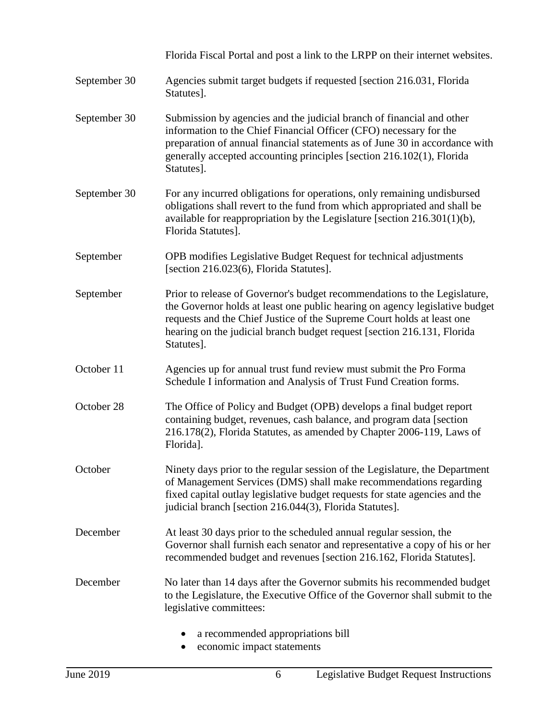September 30 Florida Fiscal Portal and post a link to the LRPP on their internet websites. Agencies submit target budgets if requested [section 216.031, Florida Statutes]. September 30 Submission by agencies and the judicial branch of financial and other information to the Chief Financial Officer (CFO) necessary for the preparation of annual financial statements as of June 30 in accordance with generally accepted accounting principles [section 216.102(1), Florida Statutes]. September 30 For any incurred obligations for operations, only remaining undisbursed obligations shall revert to the fund from which appropriated and shall be available for reappropriation by the Legislature [section 216.301(1)(b), Florida Statutes]. September September October 11 October 28 OPB modifies Legislative Budget Request for technical adjustments [section 216.023(6), Florida Statutes]. Prior to release of Governor's budget recommendations to the Legislature, the Governor holds at least one public hearing on agency legislative budget requests and the Chief Justice of the Supreme Court holds at least one hearing on the judicial branch budget request [section 216.131, Florida Statutes]. Agencies up for annual trust fund review must submit the Pro Forma Schedule I information and Analysis of Trust Fund Creation forms. The Office of Policy and Budget (OPB) develops a final budget report containing budget, revenues, cash balance, and program data [section 216.178(2), Florida Statutes, as amended by Chapter 2006-119, Laws of Florida]. October Ninety days prior to the regular session of the Legislature, the Department of Management Services (DMS) shall make recommendations regarding fixed capital outlay legislative budget requests for state agencies and the judicial branch [section 216.044(3), Florida Statutes]. December At least 30 days prior to the scheduled annual regular session, the Governor shall furnish each senator and representative a copy of his or her recommended budget and revenues [section 216.162, Florida Statutes]. December No later than 14 days after the Governor submits his recommended budget to the Legislature, the Executive Office of the Governor shall submit to the legislative committees: a recommended appropriations bill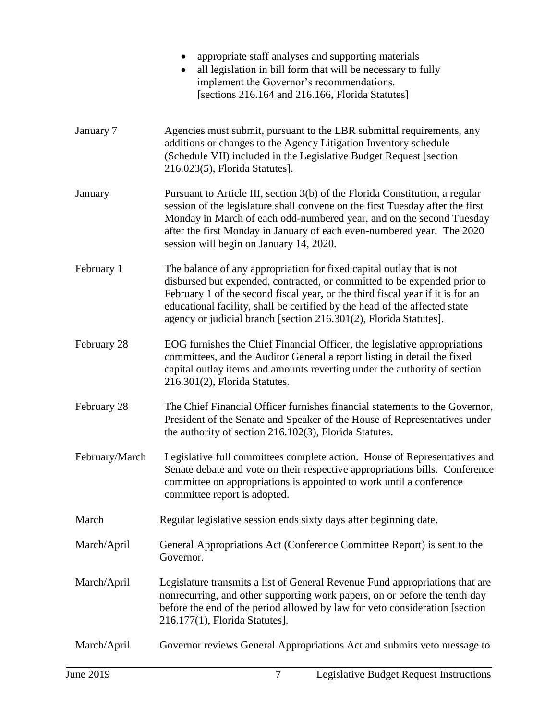|             | appropriate staff analyses and supporting materials<br>$\bullet$<br>all legislation in bill form that will be necessary to fully<br>implement the Governor's recommendations.<br>[sections 216.164 and 216.166, Florida Statutes]                                                                                                                                                      |
|-------------|----------------------------------------------------------------------------------------------------------------------------------------------------------------------------------------------------------------------------------------------------------------------------------------------------------------------------------------------------------------------------------------|
| January 7   | Agencies must submit, pursuant to the LBR submittal requirements, any<br>additions or changes to the Agency Litigation Inventory schedule<br>(Schedule VII) included in the Legislative Budget Request [section]<br>216.023(5), Florida Statutes].                                                                                                                                     |
| January     | Pursuant to Article III, section 3(b) of the Florida Constitution, a regular<br>session of the legislature shall convene on the first Tuesday after the first<br>Monday in March of each odd-numbered year, and on the second Tuesday<br>after the first Monday in January of each even-numbered year. The 2020<br>session will begin on January 14, 2020.                             |
| February 1  | The balance of any appropriation for fixed capital outlay that is not<br>disbursed but expended, contracted, or committed to be expended prior to<br>February 1 of the second fiscal year, or the third fiscal year if it is for an<br>educational facility, shall be certified by the head of the affected state<br>agency or judicial branch [section 216.301(2), Florida Statutes]. |
| February 28 | EOG furnishes the Chief Financial Officer, the legislative appropriations<br>committees, and the Auditor General a report listing in detail the fixed<br>capital outlay items and amounts reverting under the authority of section<br>$216.301(2)$ , Florida Statutes.                                                                                                                 |
| February 28 | The Chief Financial Officer furnishes financial statements to the Governor,<br>President of the Senate and Speaker of the House of Representatives under<br>the authority of section 216.102(3), Florida Statutes.                                                                                                                                                                     |
|             | February/March Legislative full committees complete action. House of Representatives and<br>Senate debate and vote on their respective appropriations bills. Conference<br>committee on appropriations is appointed to work until a conference<br>committee report is adopted.                                                                                                         |
| March       | Regular legislative session ends sixty days after beginning date.                                                                                                                                                                                                                                                                                                                      |
| March/April | General Appropriations Act (Conference Committee Report) is sent to the<br>Governor.                                                                                                                                                                                                                                                                                                   |
| March/April | Legislature transmits a list of General Revenue Fund appropriations that are<br>nonrecurring, and other supporting work papers, on or before the tenth day<br>before the end of the period allowed by law for veto consideration [section<br>216.177(1), Florida Statutes].                                                                                                            |
| March/April | Governor reviews General Appropriations Act and submits veto message to                                                                                                                                                                                                                                                                                                                |